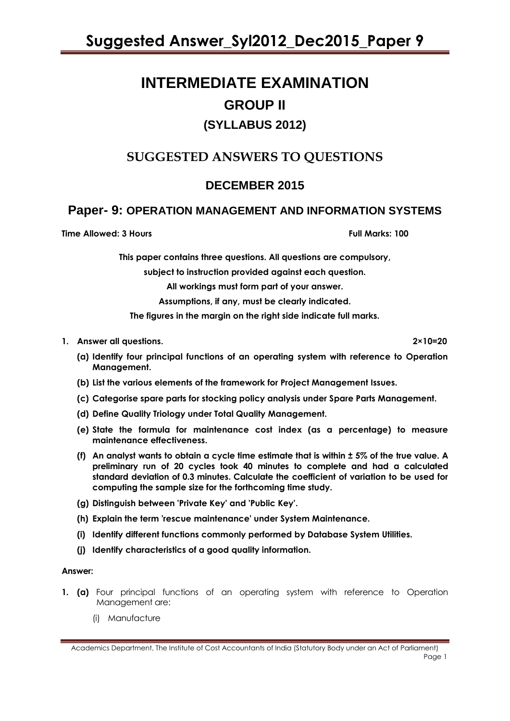# **INTERMEDIATE EXAMINATION GROUP II (SYLLABUS 2012)**

## **SUGGESTED ANSWERS TO QUESTIONS**

## **DECEMBER 2015**

## **Paper- 9: OPERATION MANAGEMENT AND INFORMATION SYSTEMS**

**Time Allowed: 3 Hours Full Marks: 100** 

**This paper contains three questions. All questions are compulsory,**

**subject to instruction provided against each question.**

**All workings must form part of your answer.**

**Assumptions, if any, must be clearly indicated.**

**The figures in the margin on the right side indicate full marks.**

#### **1. Answer all questions. 2×10=20**

**(a) Identify four principal functions of an operating system with reference to Operation Management.**

- **(b) List the various elements of the framework for Project Management Issues.**
- **(c) Categorise spare parts for stocking policy analysis under Spare Parts Management.**
- **(d) Define Quality Triology under Total Quality Management.**
- **(e) State the formula for maintenance cost index (as a percentage) to measure maintenance effectiveness.**
- **(f) An analyst wants to obtain a cycle time estimate that is within ± 5% of the true value. A preliminary run of 20 cycles took 40 minutes to complete and had a calculated standard deviation of 0.3 minutes. Calculate the coefficient of variation to be used for computing the sample size for the forthcoming time study.**
- **(g) Distinguish between 'Private Key' and 'Public Key'.**
- **(h) Explain the term 'rescue maintenance' under System Maintenance.**
- **(i) Identify different functions commonly performed by Database System Utilities.**
- **(j) Identify characteristics of a good quality information.**

### **Answer:**

- **1. (a)** Four principal functions of an operating system with reference to Operation Management are:
	- (i) Manufacture

Academics Department, The Institute of Cost Accountants of India (Statutory Body under an Act of Parliament) Page 1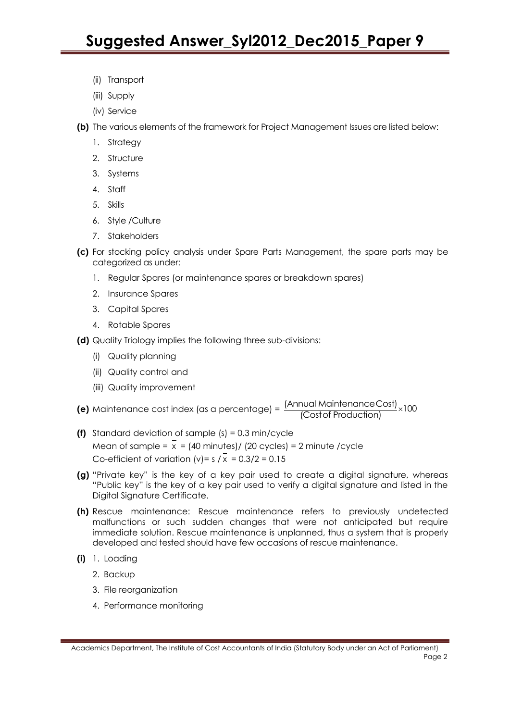- (ii) Transport
- (iii) Supply
- (iv) Service
- **(b)** The various elements of the framework for Project Management Issues are listed below:
	- 1. Strategy
	- 2. Structure
	- 3. Systems
	- 4. Staff
	- 5. Skills
	- 6. Style /Culture
	- 7. Stakeholders
- **(c)** For stocking policy analysis under Spare Parts Management, the spare parts may be categorized as under:
	- 1. Regular Spares (or maintenance spares or breakdown spares)
	- 2. Insurance Spares
	- 3. Capital Spares
	- 4. Rotable Spares
- **(d)** Quality Triology implies the following three sub-divisions:
	- (i) Quality planning
	- (ii) Quality control and
	- (iii) Quality improvement
- **(e)** Maintenance cost index (as a percentage) =  $\frac{1}{2}$  minimum limitations in  $\frac{1}{2}$  x (Annual MaintenanceCost)<br>(Costof Production)
- **(f)** Standard deviation of sample (s) = 0.3 min/cycle Mean of sample =  $x = (40 \text{ minutes}) / (20 \text{ cycles}) = 2 \text{ minute} / \text{cycle}$ Co-efficient of variation  $(v) = s / x = 0.3/2 = 0.15$
- **(g)** "Private key" is the key of a key pair used to create a digital signature, whereas "Public key" is the key of a key pair used to verify a digital signature and listed in the Digital Signature Certificate.
- **(h)** Rescue maintenance: Rescue maintenance refers to previously undetected malfunctions or such sudden changes that were not anticipated but require immediate solution. Rescue maintenance is unplanned, thus a system that is properly developed and tested should have few occasions of rescue maintenance.
- **(i)** 1. Loading
	- 2. Backup
	- 3. File reorganization
	- 4. Performance monitoring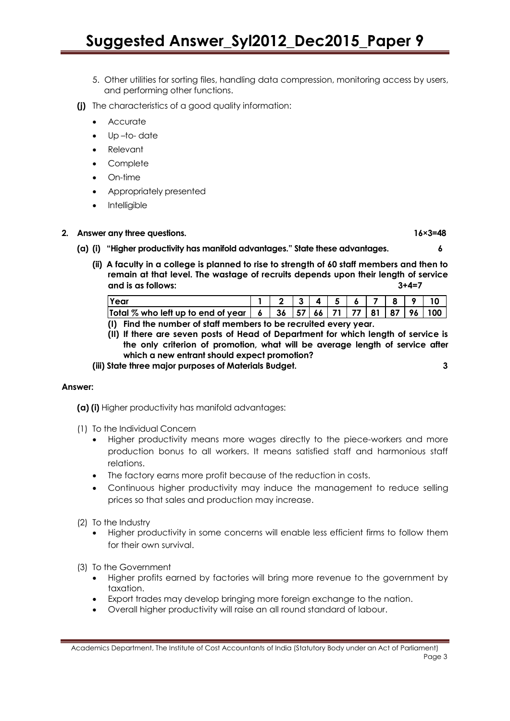# **Suggested Answer\_Syl2012\_Dec2015\_Paper 9**

- 5. Other utilities for sorting files, handling data compression, monitoring access by users, and performing other functions.
- **(j)** The characteristics of a good quality information:
	- Accurate
	- Up –to- date
	- Relevant
	- **Complete**
	- On-time
	- Appropriately presented
	- **Intelligible**

#### **2. Answer any three questions. 16×3=48**

- **(a) (i) "Higher productivity has manifold advantages." State these advantages. 6**
	- **(ii) A faculty in a college is planned to rise to strength of 60 staff members and then to remain at that level. The wastage of recruits depends upon their length of service and is as follows: 3+4=7**

| Year                                                                                                                                          |  |  | 3 4 5 6 7 8 9 |  | 10 <sup>1</sup> |
|-----------------------------------------------------------------------------------------------------------------------------------------------|--|--|---------------|--|-----------------|
| Total % who left up to end of year $\mid$ 6 $\mid$ 36 $\mid$ 57 $\mid$ 66 $\mid$ 71 $\mid$ 77 $\mid$ 81 $\mid$ 87 $\mid$ 96 $\mid$ 100 $\mid$ |  |  |               |  |                 |

- **(I) Find the number of staff members to be recruited every year.**
- **(II) If there are seven posts of Head of Department for which length of service is the only criterion of promotion, what will be average length of service after which a new entrant should expect promotion?**

**(iii) State three major purposes of Materials Budget. 3** 

#### **Answer:**

**(a) (i)** Higher productivity has manifold advantages:

- (1) To the Individual Concern
	- Higher productivity means more wages directly to the piece-workers and more production bonus to all workers. It means satisfied staff and harmonious staff relations.
	- The factory earns more profit because of the reduction in costs.
	- Continuous higher productivity may induce the management to reduce selling prices so that sales and production may increase.
- (2) To the Industry
	- Higher productivity in some concerns will enable less efficient firms to follow them for their own survival.

(3) To the Government

- Higher profits earned by factories will bring more revenue to the government by taxation.
- Export trades may develop bringing more foreign exchange to the nation.
- Overall higher productivity will raise an all round standard of labour.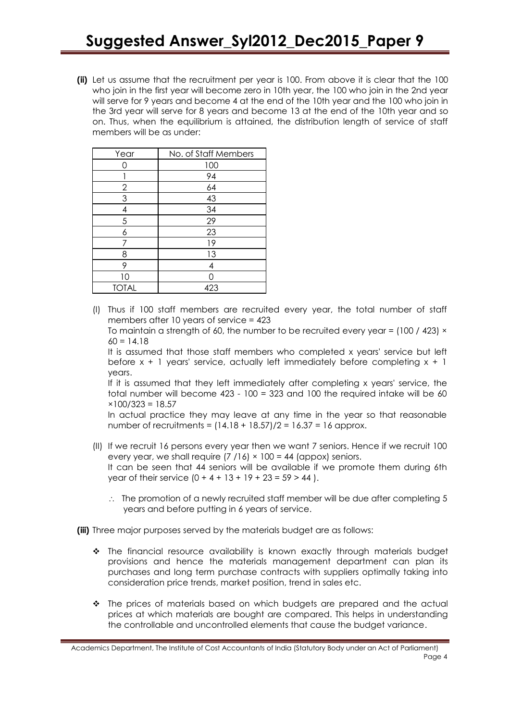**(ii)** Let us assume that the recruitment per year is 100. From above it is clear that the 100 who join in the first year will become zero in 10th year, the 100 who join in the 2nd year will serve for 9 years and become 4 at the end of the 10th year and the 100 who join in the 3rd year will serve for 8 years and become 13 at the end of the 10th year and so on. Thus, when the equilibrium is attained, the distribution length of service of staff members will be as under:

| Year         | No. of Staff Members |
|--------------|----------------------|
| ∩            | 100                  |
|              | 94                   |
| $\mathbf{2}$ | 64                   |
| 3            | 43                   |
| 4            | 34                   |
| 5            | 29                   |
| 6            | 23                   |
| 7            | 19                   |
| 8            | 13                   |
| 9            | 4                    |
| 10           |                      |
| <b>TOTAL</b> | 423                  |

(I) Thus if 100 staff members are recruited every year, the total number of staff members after 10 years of service = 423

To maintain a strength of 60, the number to be recruited every year =  $(100 / 423) \times$  $60 = 14.18$ 

It is assumed that those staff members who completed x years' service but left before  $x + 1$  years' service, actually left immediately before completing  $x + 1$ years.

If it is assumed that they left immediately after completing x years' service, the total number will become 423 - 100 = 323 and 100 the required intake will be 60  $×100/323 = 18.57$ 

In actual practice they may leave at any time in the year so that reasonable number of recruitments =  $(14.18 + 18.57)/2 = 16.37 = 16$  approx.

- (II) If we recruit 16 persons every year then we want 7 seniors. Hence if we recruit 100 every year, we shall require  $(7/16) \times 100 = 44$  (appox) seniors. It can be seen that 44 seniors will be available if we promote them during 6th year of their service  $(0 + 4 + 13 + 19 + 23 = 59 > 44)$ .
	- $\therefore$  The promotion of a newly recruited staff member will be due after completing 5 years and before putting in 6 years of service.

**(iii)** Three major purposes served by the materials budget are as follows:

- The financial resource availability is known exactly through materials budget provisions and hence the materials management department can plan its purchases and long term purchase contracts with suppliers optimally taking into consideration price trends, market position, trend in sales etc.
- \* The prices of materials based on which budgets are prepared and the actual prices at which materials are bought are compared. This helps in understanding the controllable and uncontrolled elements that cause the budget variance.

Academics Department, The Institute of Cost Accountants of India (Statutory Body under an Act of Parliament) Page 4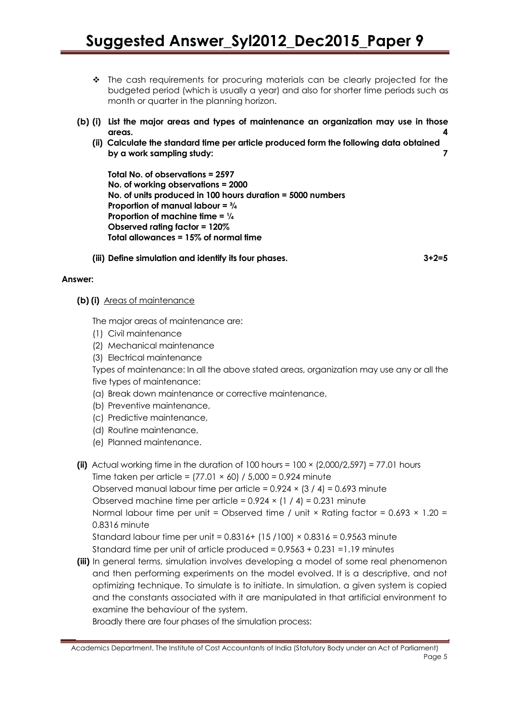- \* The cash requirements for procuring materials can be clearly projected for the budgeted period (which is usually a year) and also for shorter time periods such as month or quarter in the planning horizon.
- **(b) (i) List the major areas and types of maintenance an organization may use in those areas. 4**
	- **(ii) Calculate the standard time per article produced form the following data obtained by a work sampling study: 7**

**Total No. of observations = 2597 No. of working observations = 2000 No. of units produced in 100 hours duration = 5000 numbers Proportion of manual labour = ¾ Proportion of machine time = ¼ Observed rating factor = 120% Total allowances = 15% of normal time** 

**(iii) Define simulation and identify its four phases. 3+2=5**

#### **Answer:**

**(b) (i)** Areas of maintenance

The major areas of maintenance are:

- (1) Civil maintenance
- (2) Mechanical maintenance
- (3) Electrical maintenance

Types of maintenance: In all the above stated areas, organization may use any or all the five types of maintenance:

- (a) Break down maintenance or corrective maintenance,
- (b) Preventive maintenance,
- (c) Predictive maintenance,
- (d) Routine maintenance,
- (e) Planned maintenance.
- **(ii)** Actual working time in the duration of  $100$  hours =  $100 \times (2,000/2,597) = 77.01$  hours Time taken per article =  $(77.01 \times 60)$  /  $5,000 = 0.924$  minute Observed manual labour time per article =  $0.924 \times (3 / 4) = 0.693$  minute Observed machine time per article =  $0.924 \times (1 / 4) = 0.231$  minute Normal labour time per unit = Observed time / unit  $\times$  Rating factor = 0.693  $\times$  1.20 = 0.8316 minute Standard labour time per unit =  $0.8316 + (15/100) \times 0.8316 = 0.9563$  minute Standard time per unit of article produced = 0.9563 + 0.231 =1.19 minutes
- **(iii)** In general terms, simulation involves developing a model of some real phenomenon and then performing experiments on the model evolved. It is a descriptive, and not optimizing technique. To simulate is to initiate. In simulation, a given system is copied and the constants associated with it are manipulated in that artificial environment to examine the behaviour of the system.

Broadly there are four phases of the simulation process:

Academics Department, The Institute of Cost Accountants of India (Statutory Body under an Act of Parliament) Page 5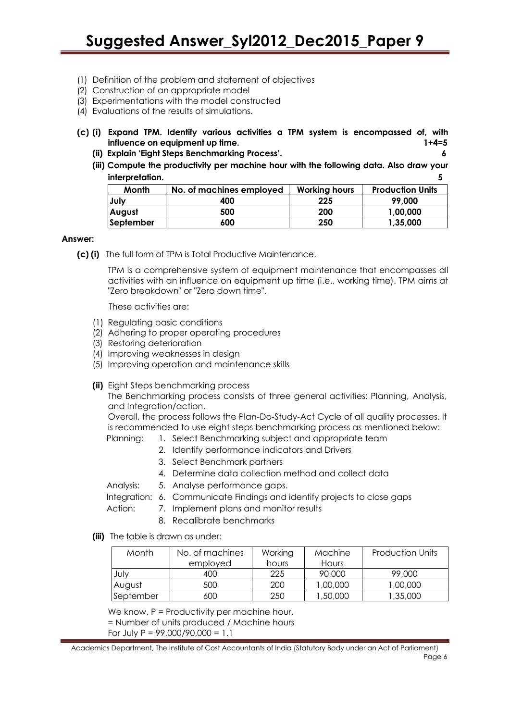- (1) Definition of the problem and statement of objectives
- (2) Construction of an appropriate model
- (3) Experimentations with the model constructed
- (4) Evaluations of the results of simulations.
- **(c) (i) Expand TPM. Identify various activities a TPM system is encompassed of, with influence on equipment up time. 1+4=5**
	- **(ii) Explain "Eight Steps Benchmarking Process". 6**
	- **(iii) Compute the productivity per machine hour with the following data. Also draw your interpretation. 5**

| Month            | No. of machines employed | <b>Working hours</b> | <b>Production Units</b> |
|------------------|--------------------------|----------------------|-------------------------|
| July             | 400                      | 225                  | 99.000                  |
| <b>August</b>    | 500                      | 200                  | 1,00,000                |
| <b>September</b> | 600                      | 250                  | 1,35,000                |

#### **Answer:**

**(c) (i)** The full form of TPM is Total Productive Maintenance.

TPM is a comprehensive system of equipment maintenance that encompasses all activities with an influence on equipment up time (i.e., working time). TPM aims at "Zero breakdown" or "Zero down time".

These activities are:

- (1) Regulating basic conditions
- (2) Adhering to proper operating procedures
- (3) Restoring deterioration
- (4) Improving weaknesses in design
- (5) Improving operation and maintenance skills
- **(ii)** Eight Steps benchmarking process

The Benchmarking process consists of three general activities: Planning, Analysis, and Integration/action.

Overall, the process follows the Plan-Do-Study-Act Cycle of all quality processes. It is recommended to use eight steps benchmarking process as mentioned below:

- Planning: 1. Select Benchmarking subject and appropriate team
	- 2. Identify performance indicators and Drivers
	- 3. Select Benchmark partners
	- 4. Determine data collection method and collect data
- Analysis: 5. Analyse performance gaps.

Integration: 6. Communicate Findings and identify projects to close gaps

- Action: 7. Implement plans and monitor results
	- 8. Recalibrate benchmarks
- **(iii)** The table is drawn as under:

| Month     | No. of machines<br>employed | Working<br>hours | Machine<br>Hours | <b>Production Units</b> |
|-----------|-----------------------------|------------------|------------------|-------------------------|
| July      | 400                         | 225              | 90,000           | 99,000                  |
| August    | 500                         | 200              | 1,00,000         | 1,00,000                |
| September | 600                         | 250              | 50,000, ا        | 1,35,000                |

We know, P = Productivity per machine hour,

= Number of units produced / Machine hours

For July  $P = 99,000/90,000 = 1.1$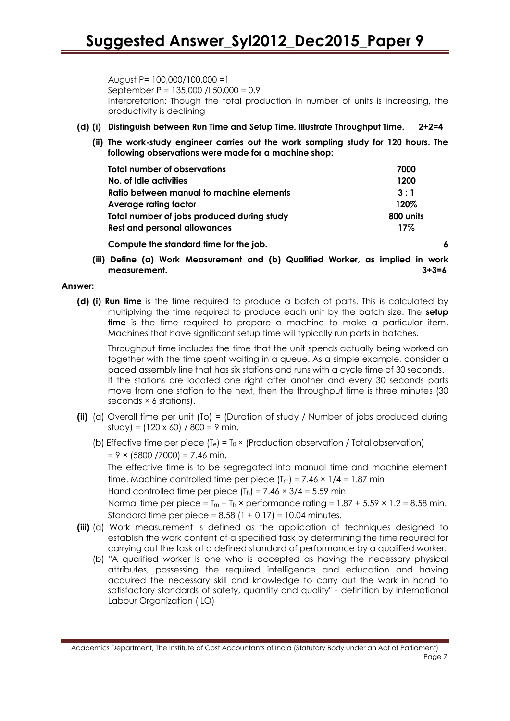August P= 100,000/100,000 =1 September P = 135,000 /l 50,000 = 0.9 Interpretation: Though the total production in number of units is increasing, the productivity is declining

#### **(d) (i) Distinguish between Run Time and Setup Time. Illustrate Throughput Time. 2+2=4**

**(ii) The work-study engineer carries out the work sampling study for 120 hours. The following observations were made for a machine shop:**

| Total number of observations               | 7000      |
|--------------------------------------------|-----------|
| No. of Idle activities                     | 1200      |
| Ratio between manual to machine elements   | 3:1       |
| Average rating factor                      | 120%      |
| Total number of jobs produced during study | 800 units |
| <b>Rest and personal allowances</b>        | $17\%$    |
|                                            |           |

**Compute the standard time for the job. 6**

**(iii) Define (a) Work Measurement and (b) Qualified Worker, as implied in work measurement. 3+3=6**

#### **Answer:**

**(d) (i) Run time** is the time required to produce a batch of parts. This is calculated by multiplying the time required to produce each unit by the batch size. The **setup time** is the time required to prepare a machine to make a particular item. Machines that have significant setup time will typically run parts in batches.

Throughput time includes the time that the unit spends actually being worked on together with the time spent waiting in a queue. As a simple example, consider a paced assembly line that has six stations and runs with a cycle time of 30 seconds. If the stations are located one right after another and every 30 seconds parts move from one station to the next, then the throughput time is three minutes (30 seconds × 6 stations).

- **(ii)** (a) Overall time per unit (To) = (Duration of study / Number of jobs produced during  $studv = (120 \times 60) / 800 = 9$  min.
	- (b) Effective time per piece  $(T_e) = T_0 \times$  (Production observation / Total observation)  $= 9 \times (5800 / 7000) = 7.46$  min.

The effective time is to be segregated into manual time and machine element time. Machine controlled time per piece  $(T_m) = 7.46 \times 1/4 = 1.87$  min

Hand controlled time per piece  $(T_h) = 7.46 \times 3/4 = 5.59$  min

Normal time per piece =  $T_m + T_h \times$  performance rating =  $1.87 + 5.59 \times 1.2 = 8.58$  min. Standard time per piece =  $8.58$  (1 + 0.17) = 10.04 minutes.

- **(iii)** (a) Work measurement is defined as the application of techniques designed to establish the work content of a specified task by determining the time required for carrying out the task at a defined standard of performance by a qualified worker.
	- (b) "A qualified worker is one who is accepted as having the necessary physical attributes, possessing the required intelligence and education and having acquired the necessary skill and knowledge to carry out the work in hand to satisfactory standards of safety, quantity and quality" - definition by International Labour Organization (ILO)

Academics Department, The Institute of Cost Accountants of India (Statutory Body under an Act of Parliament) Page 7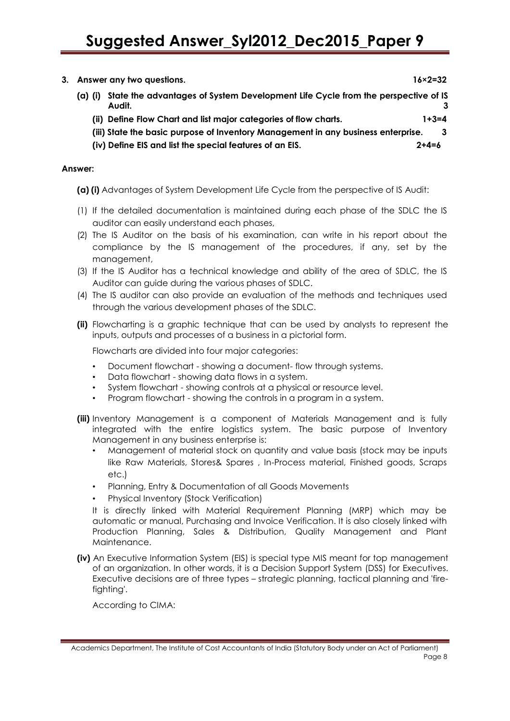# **Suggested Answer\_Syl2012\_Dec2015\_Paper 9**

- **3. Answer any two questions. 16×2=32**
	- **(a) (i) State the advantages of System Development Life Cycle from the perspective of IS Audit. 3**
		- **(ii) Define Flow Chart and list major categories of flow charts. 1+3=4**
		- **(iii) State the basic purpose of Inventory Management in any business enterprise. 3**
		- **(iv) Define EIS and list the special features of an EIS. 2+4=6**

#### **Answer:**

- **(a) (i)** Advantages of System Development Life Cycle from the perspective of IS Audit:
- (1) If the detailed documentation is maintained during each phase of the SDLC the IS auditor can easily understand each phases,
- (2) The IS Auditor on the basis of his examination, can write in his report about the compliance by the IS management of the procedures, if any, set by the management,
- (3) If the IS Auditor has a technical knowledge and ability of the area of SDLC, the IS Auditor can guide during the various phases of SDLC.
- (4) The IS auditor can also provide an evaluation of the methods and techniques used through the various development phases of the SDLC.
- **(ii)** Flowcharting is a graphic technique that can be used by analysts to represent the inputs, outputs and processes of a business in a pictorial form.

Flowcharts are divided into four major categories:

- Document flowchart showing a document- flow through systems.
- Data flowchart showing data flows in a system.
- System flowchart showing controls at a physical or resource level.
- Program flowchart showing the controls in a program in a system.
- **(iii)** Inventory Management is a component of Materials Management and is fully integrated with the entire logistics system. The basic purpose of Inventory Management in any business enterprise is:
	- Management of material stock on quantity and value basis (stock may be inputs like Raw Materials, Stores& Spares , In-Process material, Finished goods, Scraps etc.)
	- Planning, Entry & Documentation of all Goods Movements
	- Physical Inventory (Stock Verification)

It is directly linked with Material Requirement Planning (MRP) which may be automatic or manual, Purchasing and Invoice Verification. It is also closely linked with Production Planning, Sales & Distribution, Quality Management and Plant Maintenance.

**(iv)** An Executive Information System (EIS) is special type MIS meant for top management of an organization. In other words, it is a Decision Support System (DSS) for Executives. Executive decisions are of three types – strategic planning, tactical planning and 'firefighting'.

According to CIMA:

Academics Department, The Institute of Cost Accountants of India (Statutory Body under an Act of Parliament) Page 8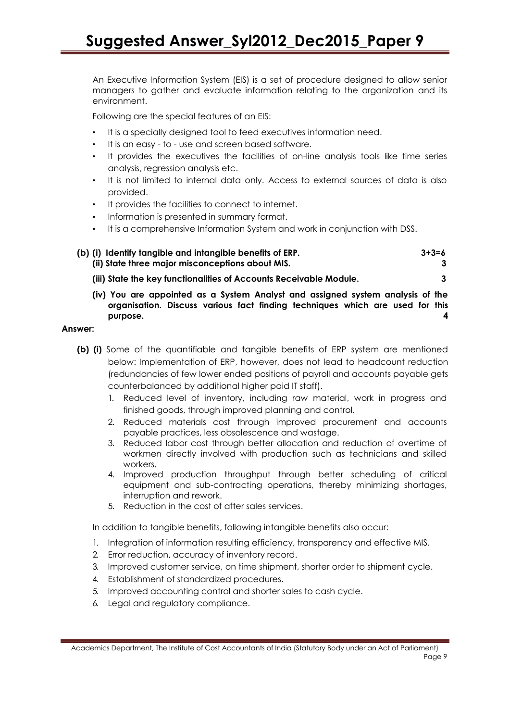An Executive Information System (EIS) is a set of procedure designed to allow senior managers to gather and evaluate information relating to the organization and its environment.

Following are the special features of an EIS:

- It is a specially designed tool to feed executives information need.
- It is an easy to use and screen based software.
- It provides the executives the facilities of on-line analysis tools like time series analysis, regression analysis etc.
- It is not limited to internal data only. Access to external sources of data is also provided.
- It provides the facilities to connect to internet.
- Information is presented in summary format.
- It is a comprehensive Information System and work in conjunction with DSS.

| (b) (i) Identify tangible and intangible benefits of ERP.          | $3 + 3 = 6$ |
|--------------------------------------------------------------------|-------------|
| (ii) State three major misconceptions about MIS.                   |             |
| (iii) State the key functionalities of Accounts Receivable Module. |             |

**(iv) You are appointed as a System Analyst and assigned system analysis of the organisation. Discuss various fact finding techniques which are used for this purpose. 4**

#### **Answer:**

- **(b) (i)** Some of the quantifiable and tangible benefits of ERP system are mentioned below: Implementation of ERP, however, does not lead to headcount reduction (redundancies of few lower ended positions of payroll and accounts payable gets counterbalanced by additional higher paid IT staff).
	- 1. Reduced level of inventory, including raw material, work in progress and finished goods, through improved planning and control.
	- 2. Reduced materials cost through improved procurement and accounts payable practices, less obsolescence and wastage.
	- 3. Reduced labor cost through better allocation and reduction of overtime of workmen directly involved with production such as technicians and skilled workers.
	- 4. Improved production throughput through better scheduling of critical equipment and sub-contracting operations, thereby minimizing shortages, interruption and rework.
	- 5. Reduction in the cost of after sales services.

In addition to tangible benefits, following intangible benefits also occur:

- 1. Integration of information resulting efficiency, transparency and effective MIS.
- 2. Error reduction, accuracy of inventory record.
- 3. Improved customer service, on time shipment, shorter order to shipment cycle.
- 4. Establishment of standardized procedures.
- 5. Improved accounting control and shorter sales to cash cycle.
- 6. Legal and regulatory compliance.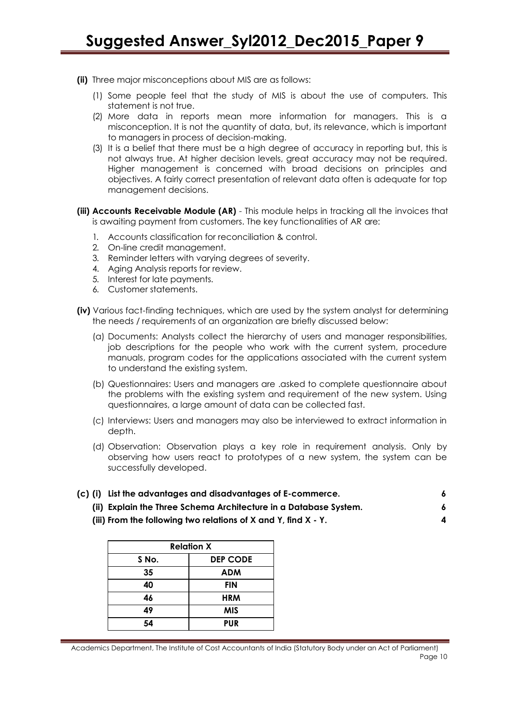- **(ii)** Three major misconceptions about MIS are as follows:
	- (1) Some people feel that the study of MIS is about the use of computers. This statement is not true.
	- (2) More data in reports mean more information for managers. This is a misconception. It is not the quantity of data, but, its relevance, which is important to managers in process of decision-making.
	- (3) It is a belief that there must be a high degree of accuracy in reporting but, this is not always true. At higher decision levels, great accuracy may not be required. Higher management is concerned with broad decisions on principles and objectives. A fairly correct presentation of relevant data often is adequate for top management decisions.
- **(iii) Accounts Receivable Module (AR)**  This module helps in tracking all the invoices that is awaiting payment from customers. The key functionalities of AR are:
	- 1. Accounts classification for reconciliation & control.
	- 2. On-line credit management.
	- 3. Reminder letters with varying degrees of severity.
	- 4. Aging Analysis reports for review.
	- 5. Interest for late payments.
	- 6. Customer statements.
- **(iv)** Various fact-finding techniques, which are used by the system analyst for determining the needs / requirements of an organization are briefly discussed below:
	- (a) Documents: Analysts collect the hierarchy of users and manager responsibilities, job descriptions for the people who work with the current system, procedure manuals, program codes for the applications associated with the current system to understand the existing system.
	- (b) Questionnaires: Users and managers are .asked to complete questionnaire about the problems with the existing system and requirement of the new system. Using questionnaires, a large amount of data can be collected fast.
	- (c) Interviews: Users and managers may also be interviewed to extract information in depth.
	- (d) Observation: Observation plays a key role in requirement analysis. Only by observing how users react to prototypes of a new system, the system can be successfully developed.

|  |   |  |  | (c) (i) List the advantages and disadvantages of E-commerce. |  |  |
|--|---|--|--|--------------------------------------------------------------|--|--|
|  | . |  |  | .                                                            |  |  |

- **(ii) Explain the Three Schema Architecture in a Database System. 6**
- **(iii) From the following two relations of X and Y, find X - Y. 4**

| <b>Relation X</b> |                 |  |  |  |  |
|-------------------|-----------------|--|--|--|--|
| S No.             | <b>DEP CODE</b> |  |  |  |  |
| 35                | <b>ADM</b>      |  |  |  |  |
| 40                | <b>FIN</b>      |  |  |  |  |
| 46                | <b>HRM</b>      |  |  |  |  |
| 49                | <b>MIS</b>      |  |  |  |  |
| 54                | <b>PUR</b>      |  |  |  |  |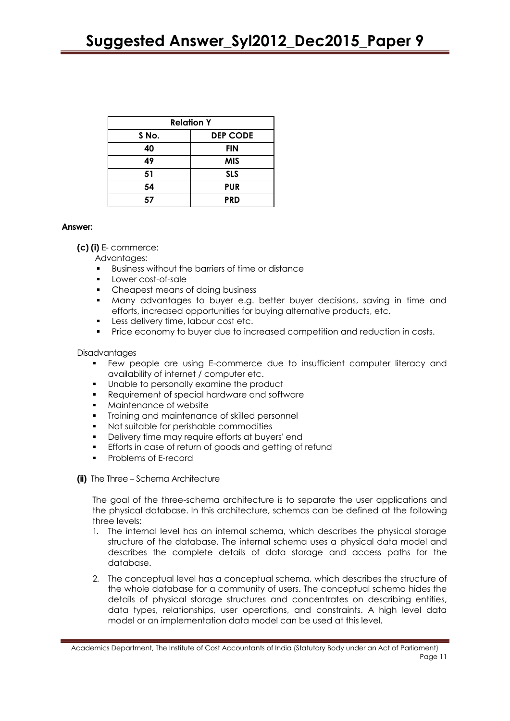| <b>Relation Y</b> |                 |  |  |  |  |
|-------------------|-----------------|--|--|--|--|
| S No.             | <b>DEP CODE</b> |  |  |  |  |
| 40                | <b>FIN</b>      |  |  |  |  |
| 49                | <b>MIS</b>      |  |  |  |  |
| 51                | <b>SLS</b>      |  |  |  |  |
| 54                | <b>PUR</b>      |  |  |  |  |
| 57                | <b>PRD</b>      |  |  |  |  |

#### **Answer:**

**(c) (i)** E- commerce:

Advantages:

- Business without the barriers of time or distance
- Lower cost-of-sale
- Cheapest means of doing business
- Many advantages to buyer e.g. better buyer decisions, saving in time and efforts, increased opportunities for buying alternative products, etc.
- Less delivery time, labour cost etc.
- **Price economy to buyer due to increased competition and reduction in costs.**

#### **Disadvantages**

- Few people are using E-commerce due to insufficient computer literacy and availability of internet / computer etc.
- Unable to personally examine the product
- Requirement of special hardware and software
- Maintenance of website
- Training and maintenance of skilled personnel
- Not suitable for perishable commodities
- Delivery time may require efforts at buyers' end
- Efforts in case of return of goods and getting of refund
- Problems of E-record
- **(ii)** The Three Schema Architecture

The goal of the three-schema architecture is to separate the user applications and the physical database. In this architecture, schemas can be defined at the following three levels:

- 1. The internal level has an internal schema, which describes the physical storage structure of the database. The internal schema uses a physical data model and describes the complete details of data storage and access paths for the database.
- 2. The conceptual level has a conceptual schema, which describes the structure of the whole database for a community of users. The conceptual schema hides the details of physical storage structures and concentrates on describing entities, data types, relationships, user operations, and constraints. A high level data model or an implementation data model can be used at this level.